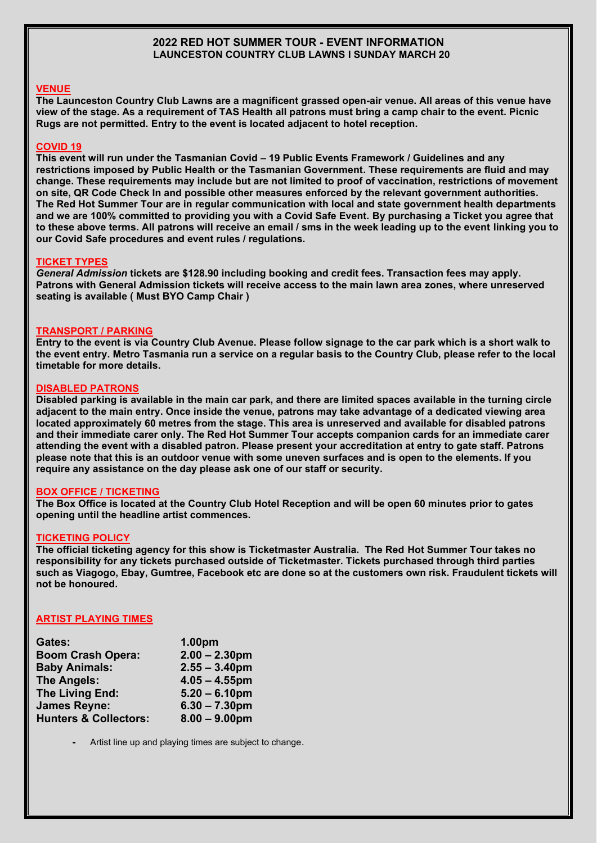## **2022 RED HOT SUMMER TOUR - EVENT INFORMATION LAUNCESTON COUNTRY CLUB LAWNS I SUNDAY MARCH 20**

## **VENUE**

**The Launceston Country Club Lawns are a magnificent grassed open-air venue. All areas of this venue have view of the stage. As a requirement of TAS Health all patrons must bring a camp chair to the event. Picnic Rugs are not permitted. Entry to the event is located adjacent to hotel reception.**

### **COVID 19**

**This event will run under the Tasmanian Covid – 19 Public Events Framework / Guidelines and any restrictions imposed by Public Health or the Tasmanian Government. These requirements are fluid and may change. These requirements may include but are not limited to proof of vaccination, restrictions of movement on site, QR Code Check In and possible other measures enforced by the relevant government authorities. The Red Hot Summer Tour are in regular communication with local and state government health departments and we are 100% committed to providing you with a Covid Safe Event. By purchasing a Ticket you agree that to these above terms. All patrons will receive an email / sms in the week leading up to the event linking you to our Covid Safe procedures and event rules / regulations.**

## **TICKET TYPES**

*General Admission* **tickets are \$128.90 including booking and credit fees. Transaction fees may apply. Patrons with General Admission tickets will receive access to the main lawn area zones, where unreserved seating is available ( Must BYO Camp Chair )**

## **TRANSPORT / PARKING**

**Entry to the event is via Country Club Avenue. Please follow signage to the car park which is a short walk to the event entry. Metro Tasmania run a service on a regular basis to the Country Club, please refer to the local timetable for more details.**

## **DISABLED PATRONS**

**Disabled parking is available in the main car park, and there are limited spaces available in the turning circle adjacent to the main entry. Once inside the venue, patrons may take advantage of a dedicated viewing area located approximately 60 metres from the stage. This area is unreserved and available for disabled patrons and their immediate carer only. The Red Hot Summer Tour accepts companion cards for an immediate carer attending the event with a disabled patron. Please present your accreditation at entry to gate staff. Patrons please note that this is an outdoor venue with some uneven surfaces and is open to the elements. If you require any assistance on the day please ask one of our staff or security.**

# **BOX OFFICE / TICKETING**

**The Box Office is located at the Country Club Hotel Reception and will be open 60 minutes prior to gates opening until the headline artist commences.**

### **TICKETING POLICY**

**The official ticketing agency for this show is Ticketmaster Australia. The Red Hot Summer Tour takes no responsibility for any tickets purchased outside of Ticketmaster. Tickets purchased through third parties such as Viagogo, Ebay, Gumtree, Facebook etc are done so at the customers own risk. Fraudulent tickets will not be honoured.**

# **ARTIST PLAYING TIMES**

| Gates:                           | 1.00pm           |
|----------------------------------|------------------|
| <b>Boom Crash Opera:</b>         | $2.00 - 2.30$ pm |
| <b>Baby Animals:</b>             | $2.55 - 3.40$ pm |
| <b>The Angels:</b>               | $4.05 - 4.55$ pm |
| The Living End:                  | $5.20 - 6.10$ pm |
| <b>James Reyne:</b>              | $6.30 - 7.30$ pm |
| <b>Hunters &amp; Collectors:</b> | $8.00 - 9.00$ pm |

**-** Artist line up and playing times are subject to change.